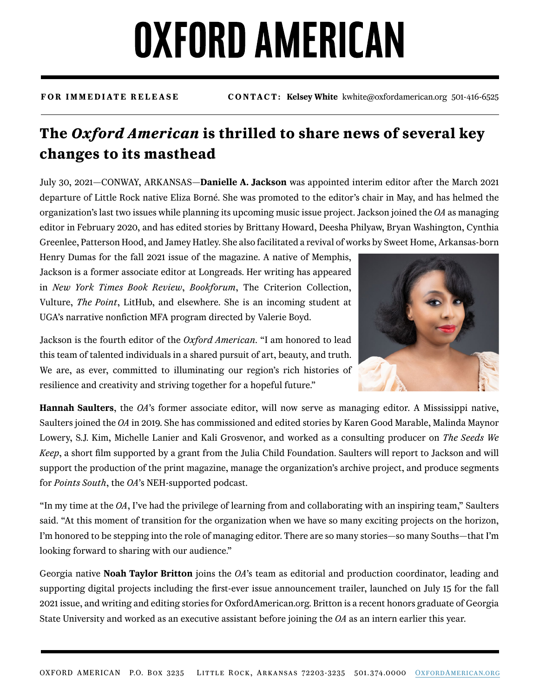## **OXFORD AMERICAN**

**FOR IMMEDIATE RELEASE CONTACT: Kelsey White** kwhite@oxfordamerican.org 501-416-6525

## **The** *Oxford American* **is thrilled to share news of several key changes to its masthead**

July 30, 2021—CONWAY, ARKANSAS—**Danielle A. Jackson** was appointed interim editor after the March 2021 departure of Little Rock native Eliza Borné. She was promoted to the editor's chair in May, and has helmed the organization's last two issues while planning its upcoming music issue project. Jackson joined the *OA* as managing editor in February 2020, and has edited stories by Brittany Howard, Deesha Philyaw, Bryan Washington, Cynthia Greenlee, Patterson Hood, and Jamey Hatley. She also facilitated a revival of works by Sweet Home, Arkansas-born

Henry Dumas for the fall 2021 issue of the magazine. A native of Memphis, Jackson is a former associate editor at Longreads. Her writing has appeared in *New York Times Book Review*, *Bookforum*, The Criterion Collection, Vulture, *The Point*, LitHub, and elsewhere. She is an incoming student at UGA's narrative nonfiction MFA program directed by Valerie Boyd.



Jackson is the fourth editor of the *Oxford American*. "I am honored to lead this team of talented individuals in a shared pursuit of art, beauty, and truth. We are, as ever, committed to illuminating our region's rich histories of resilience and creativity and striving together for a hopeful future."

**Hannah Saulters**, the *OA*'s former associate editor, will now serve as managing editor. A Mississippi native, Saulters joined the *OA* in 2019. She has commissioned and edited stories by Karen Good Marable, Malinda Maynor Lowery, S.J. Kim, Michelle Lanier and Kali Grosvenor, and worked as a consulting producer on *The Seeds We Keep*, a short flm supported by a grant from the Julia Child Foundation. Saulters will report to Jackson and will support the production of the print magazine, manage the organization's archive project, and produce segments for *Points South*, the *OA*'s NEH-supported podcast.

"In my time at the *OA*, I've had the privilege of learning from and collaborating with an inspiring team," Saulters said. "At this moment of transition for the organization when we have so many exciting projects on the horizon, I'm honored to be stepping into the role of managing editor. There are so many stories—so many Souths—that I'm looking forward to sharing with our audience."

Georgia native **Noah Taylor Britton** joins the *OA*'s team as editorial and production coordinator, leading and supporting digital projects including the frst-ever issue announcement trailer, launched on July 15 for the fall 2021 issue, and writing and editing stories for OxfordAmerican.org. Britton is a recent honors graduate of Georgia State University and worked as an executive assistant before joining the *OA* as an intern earlier this year.